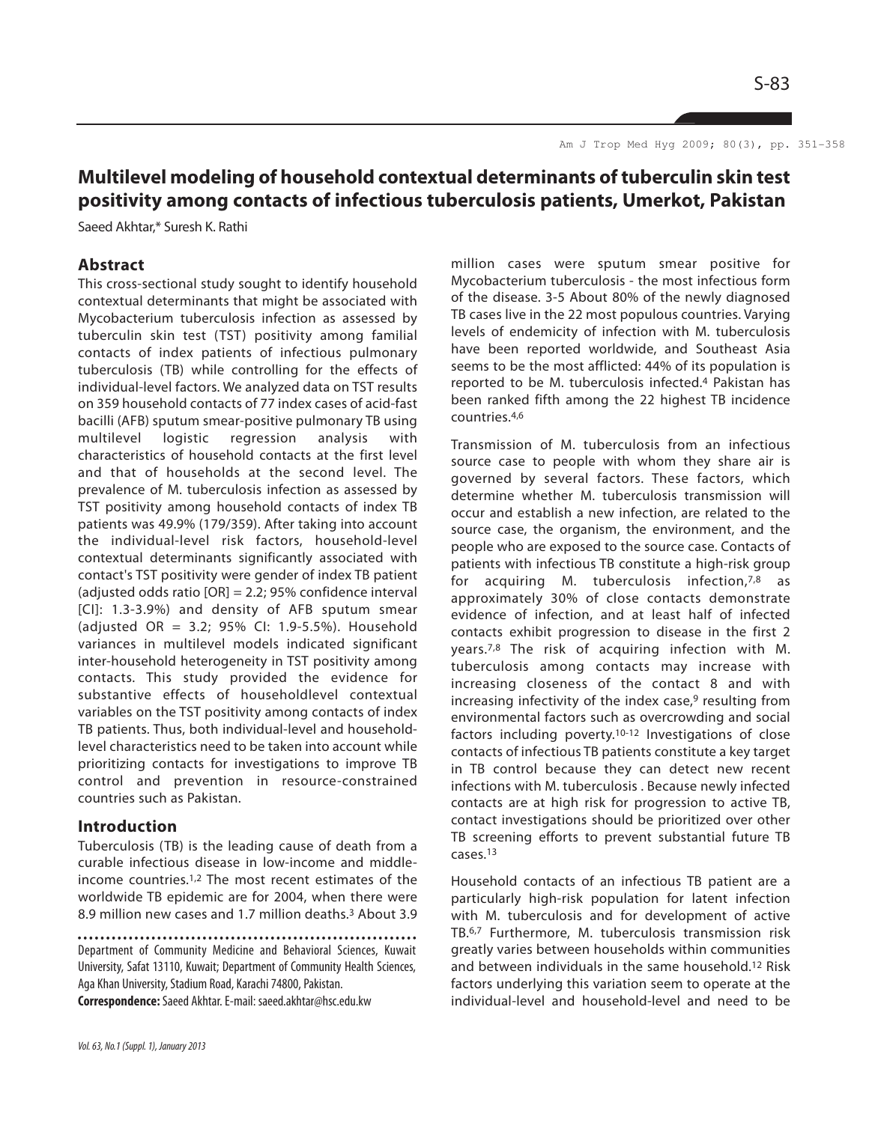Am J Trop Med Hyg 2009; 80(3), pp. 351-358

# **Multilevel modeling of household contextual determinants of tuberculin skin test positivity among contacts of infectious tuberculosis patients, Umerkot, Pakistan**

Saeed Akhtar,\* Suresh K. Rathi

## **Abstract**

This cross-sectional study sought to identify household contextual determinants that might be associated with Mycobacterium tuberculosis infection as assessed by tuberculin skin test (TST) positivity among familial contacts of index patients of infectious pulmonary tuberculosis (TB) while controlling for the effects of individual-level factors. We analyzed data on TST results on 359 household contacts of 77 index cases of acid-fast bacilli (AFB) sputum smear-positive pulmonary TB using multilevel logistic regression analysis with characteristics of household contacts at the first level and that of households at the second level. The prevalence of M. tuberculosis infection as assessed by TST positivity among household contacts of index TB patients was 49.9% (179/359). After taking into account the individual-level risk factors, household-level contextual determinants significantly associated with contact's TST positivity were gender of index TB patient (adjusted odds ratio [OR] = 2.2; 95% confidence interval [CI]: 1.3-3.9%) and density of AFB sputum smear (adjusted OR = 3.2; 95% CI: 1.9-5.5%). Household variances in multilevel models indicated significant inter-household heterogeneity in TST positivity among contacts. This study provided the evidence for substantive effects of householdlevel contextual variables on the TST positivity among contacts of index TB patients. Thus, both individual-level and householdlevel characteristics need to be taken into account while prioritizing contacts for investigations to improve TB control and prevention in resource-constrained countries such as Pakistan.

#### **Introduction**

Tuberculosis (TB) is the leading cause of death from a curable infectious disease in low-income and middleincome countries.1,2 The most recent estimates of the worldwide TB epidemic are for 2004, when there were 8.9 million new cases and 1.7 million deaths.<sup>3</sup> About 3.9

Department of Community Medicine and Behavioral Sciences, Kuwait University, Safat 13110, Kuwait; Department of Community Health Sciences, Aga Khan University, Stadium Road, Karachi 74800, Pakistan.

**Correspondence:**Saeed Akhtar. E-mail: saeed.akhtar@hsc.edu.kw

million cases were sputum smear positive for Mycobacterium tuberculosis - the most infectious form of the disease. 3-5 About 80% of the newly diagnosed TB cases live in the 22 most populous countries. Varying levels of endemicity of infection with M. tuberculosis have been reported worldwide, and Southeast Asia seems to be the most afflicted: 44% of its population is reported to be M. tuberculosis infected.<sup>4</sup> Pakistan has been ranked fifth among the 22 highest TB incidence countries.4,6

Transmission of M. tuberculosis from an infectious source case to people with whom they share air is governed by several factors. These factors, which determine whether M. tuberculosis transmission will occur and establish a new infection, are related to the source case, the organism, the environment, and the people who are exposed to the source case. Contacts of patients with infectious TB constitute a high-risk group for acquiring M. tuberculosis infection,7,8 as approximately 30% of close contacts demonstrate evidence of infection, and at least half of infected contacts exhibit progression to disease in the first 2 years.7,8 The risk of acquiring infection with M. tuberculosis among contacts may increase with increasing closeness of the contact 8 and with increasing infectivity of the index case, $9$  resulting from environmental factors such as overcrowding and social factors including poverty.10-12 Investigations of close contacts of infectious TB patients constitute a key target in TB control because they can detect new recent infections with M. tuberculosis . Because newly infected contacts are at high risk for progression to active TB, contact investigations should be prioritized over other TB screening efforts to prevent substantial future TB cases.13

Household contacts of an infectious TB patient are a particularly high-risk population for latent infection with M. tuberculosis and for development of active TB.6,7 Furthermore, M. tuberculosis transmission risk greatly varies between households within communities and between individuals in the same household.<sup>12</sup> Risk factors underlying this variation seem to operate at the individual-level and household-level and need to be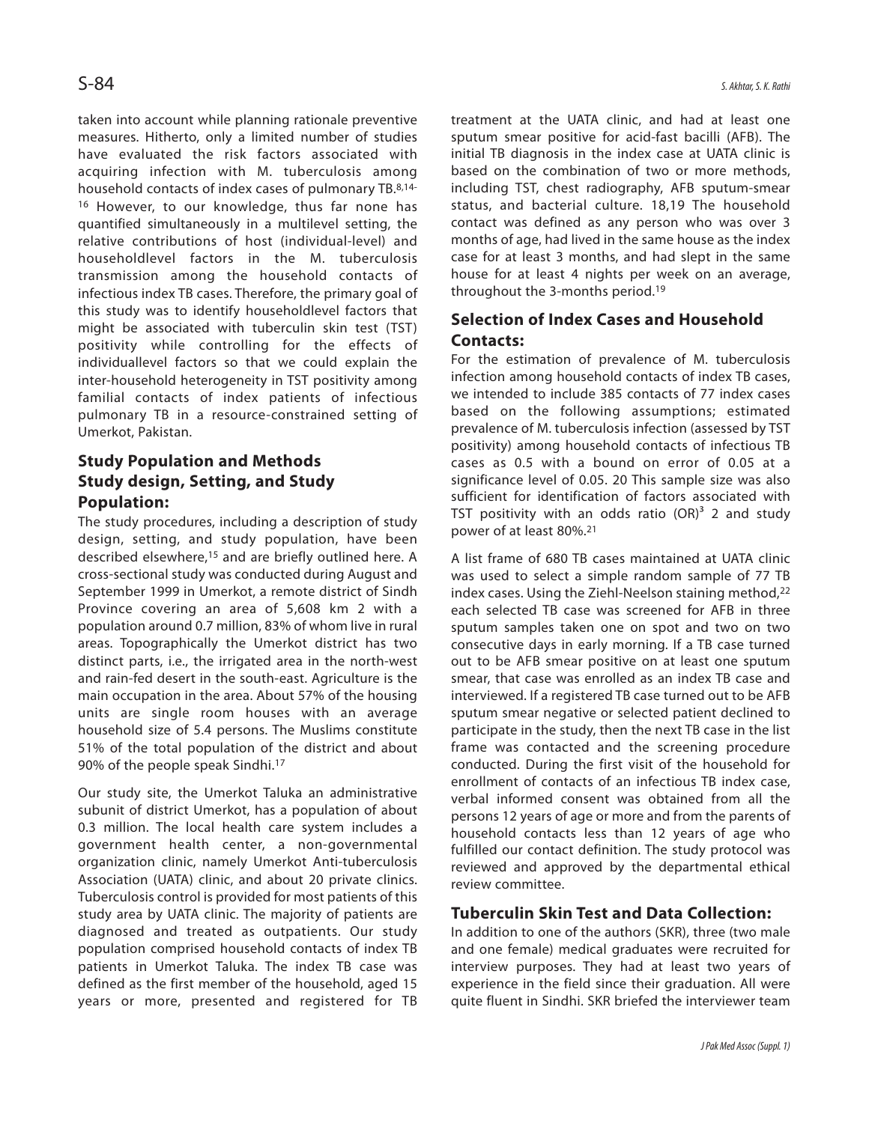taken into account while planning rationale preventive measures. Hitherto, only a limited number of studies have evaluated the risk factors associated with acquiring infection with M. tuberculosis among household contacts of index cases of pulmonary TB.8,14- <sup>16</sup> However, to our knowledge, thus far none has quantified simultaneously in a multilevel setting, the relative contributions of host (individual-level) and householdlevel factors in the M. tuberculosis transmission among the household contacts of infectious index TB cases. Therefore, the primary goal of this study was to identify householdlevel factors that might be associated with tuberculin skin test (TST) positivity while controlling for the effects of individuallevel factors so that we could explain the inter-household heterogeneity in TST positivity among familial contacts of index patients of infectious pulmonary TB in a resource-constrained setting of Umerkot, Pakistan.

# **Study Population and Methods Study design, Setting, and Study Population:**

The study procedures, including a description of study design, setting, and study population, have been described elsewhere,<sup>15</sup> and are briefly outlined here. A cross-sectional study was conducted during August and September 1999 in Umerkot, a remote district of Sindh Province covering an area of 5,608 km 2 with a population around 0.7 million, 83% of whom live in rural areas. Topographically the Umerkot district has two distinct parts, i.e., the irrigated area in the north-west and rain-fed desert in the south-east. Agriculture is the main occupation in the area. About 57% of the housing units are single room houses with an average household size of 5.4 persons. The Muslims constitute 51% of the total population of the district and about 90% of the people speak Sindhi.<sup>17</sup>

Our study site, the Umerkot Taluka an administrative subunit of district Umerkot, has a population of about 0.3 million. The local health care system includes a government health center, a non-governmental organization clinic, namely Umerkot Anti-tuberculosis Association (UATA) clinic, and about 20 private clinics. Tuberculosis control is provided for most patients of this study area by UATA clinic. The majority of patients are diagnosed and treated as outpatients. Our study population comprised household contacts of index TB patients in Umerkot Taluka. The index TB case was defined as the first member of the household, aged 15 years or more, presented and registered for TB treatment at the UATA clinic, and had at least one sputum smear positive for acid-fast bacilli (AFB). The initial TB diagnosis in the index case at UATA clinic is based on the combination of two or more methods, including TST, chest radiography, AFB sputum-smear status, and bacterial culture. 18,19 The household contact was defined as any person who was over 3 months of age, had lived in the same house as the index case for at least 3 months, and had slept in the same house for at least 4 nights per week on an average, throughout the 3-months period.<sup>19</sup>

# **Selection of Index Cases and Household Contacts:**

For the estimation of prevalence of M. tuberculosis infection among household contacts of index TB cases, we intended to include 385 contacts of 77 index cases based on the following assumptions; estimated prevalence of M. tuberculosis infection (assessed by TST positivity) among household contacts of infectious TB cases as 0.5 with a bound on error of 0.05 at a significance level of 0.05. 20 This sample size was also sufficient for identification of factors associated with TST positivity with an odds ratio  $(OR)^3$  2 and study power of at least 80%.<sup>21</sup>

A list frame of 680 TB cases maintained at UATA clinic was used to select a simple random sample of 77 TB index cases. Using the Ziehl-Neelson staining method,<sup>22</sup> each selected TB case was screened for AFB in three sputum samples taken one on spot and two on two consecutive days in early morning. If a TB case turned out to be AFB smear positive on at least one sputum smear, that case was enrolled as an index TB case and interviewed. If a registered TB case turned out to be AFB sputum smear negative or selected patient declined to participate in the study, then the next TB case in the list frame was contacted and the screening procedure conducted. During the first visit of the household for enrollment of contacts of an infectious TB index case, verbal informed consent was obtained from all the persons 12 years of age or more and from the parents of household contacts less than 12 years of age who fulfilled our contact definition. The study protocol was reviewed and approved by the departmental ethical review committee.

## **Tuberculin Skin Test and Data Collection:**

In addition to one of the authors (SKR), three (two male and one female) medical graduates were recruited for interview purposes. They had at least two years of experience in the field since their graduation. All were quite fluent in Sindhi. SKR briefed the interviewer team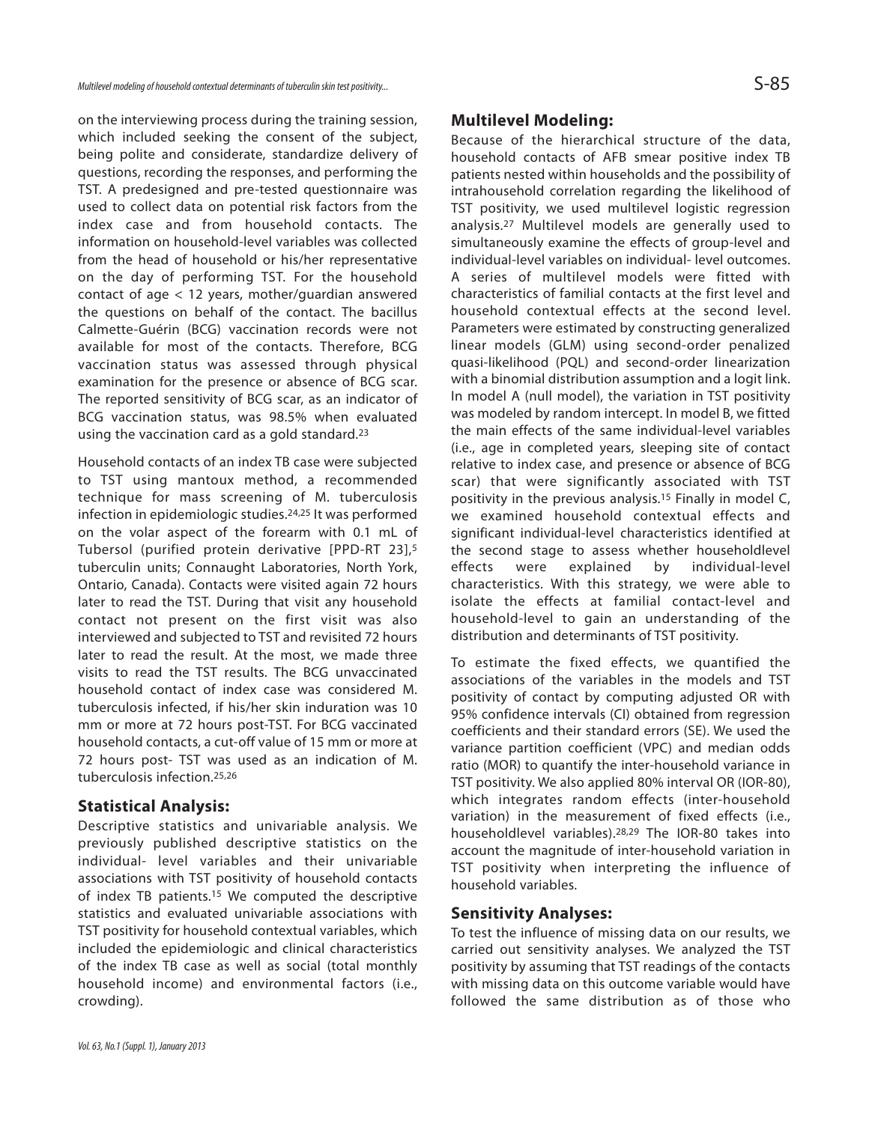on the interviewing process during the training session, which included seeking the consent of the subject, being polite and considerate, standardize delivery of questions, recording the responses, and performing the TST. A predesigned and pre-tested questionnaire was used to collect data on potential risk factors from the index case and from household contacts. The information on household-level variables was collected from the head of household or his/her representative on the day of performing TST. For the household contact of age < 12 years, mother/guardian answered the questions on behalf of the contact. The bacillus Calmette-Guérin (BCG) vaccination records were not available for most of the contacts. Therefore, BCG vaccination status was assessed through physical examination for the presence or absence of BCG scar. The reported sensitivity of BCG scar, as an indicator of BCG vaccination status, was 98.5% when evaluated using the vaccination card as a gold standard.<sup>23</sup>

Household contacts of an index TB case were subjected to TST using mantoux method, a recommended technique for mass screening of M. tuberculosis infection in epidemiologic studies.24,25 It was performed on the volar aspect of the forearm with 0.1 mL of Tubersol (purified protein derivative [PPD-RT 23],<sup>5</sup> tuberculin units; Connaught Laboratories, North York, Ontario, Canada). Contacts were visited again 72 hours later to read the TST. During that visit any household contact not present on the first visit was also interviewed and subjected to TST and revisited 72 hours later to read the result. At the most, we made three visits to read the TST results. The BCG unvaccinated household contact of index case was considered M. tuberculosis infected, if his/her skin induration was 10 mm or more at 72 hours post-TST. For BCG vaccinated household contacts, a cut-off value of 15 mm or more at 72 hours post- TST was used as an indication of M. tuberculosis infection.25,26

#### **Statistical Analysis:**

Descriptive statistics and univariable analysis. We previously published descriptive statistics on the individual- level variables and their univariable associations with TST positivity of household contacts of index TB patients.<sup>15</sup> We computed the descriptive statistics and evaluated univariable associations with TST positivity for household contextual variables, which included the epidemiologic and clinical characteristics of the index TB case as well as social (total monthly household income) and environmental factors (i.e., crowding).

### **Multilevel Modeling:**

Because of the hierarchical structure of the data, household contacts of AFB smear positive index TB patients nested within households and the possibility of intrahousehold correlation regarding the likelihood of TST positivity, we used multilevel logistic regression analysis.<sup>27</sup> Multilevel models are generally used to simultaneously examine the effects of group-level and individual-level variables on individual- level outcomes. A series of multilevel models were fitted with characteristics of familial contacts at the first level and household contextual effects at the second level. Parameters were estimated by constructing generalized linear models (GLM) using second-order penalized quasi-likelihood (PQL) and second-order linearization with a binomial distribution assumption and a logit link. In model A (null model), the variation in TST positivity was modeled by random intercept. In model B, we fitted the main effects of the same individual-level variables (i.e., age in completed years, sleeping site of contact relative to index case, and presence or absence of BCG scar) that were significantly associated with TST positivity in the previous analysis.<sup>15</sup> Finally in model C, we examined household contextual effects and significant individual-level characteristics identified at the second stage to assess whether householdlevel effects were explained by individual-level characteristics. With this strategy, we were able to isolate the effects at familial contact-level and household-level to gain an understanding of the distribution and determinants of TST positivity.

To estimate the fixed effects, we quantified the associations of the variables in the models and TST positivity of contact by computing adjusted OR with 95% confidence intervals (CI) obtained from regression coefficients and their standard errors (SE). We used the variance partition coefficient (VPC) and median odds ratio (MOR) to quantify the inter-household variance in TST positivity. We also applied 80% interval OR (IOR-80), which integrates random effects (inter-household variation) in the measurement of fixed effects (i.e., householdlevel variables).28,29 The IOR-80 takes into account the magnitude of inter-household variation in TST positivity when interpreting the influence of household variables.

#### **Sensitivity Analyses:**

To test the influence of missing data on our results, we carried out sensitivity analyses. We analyzed the TST positivity by assuming that TST readings of the contacts with missing data on this outcome variable would have followed the same distribution as of those who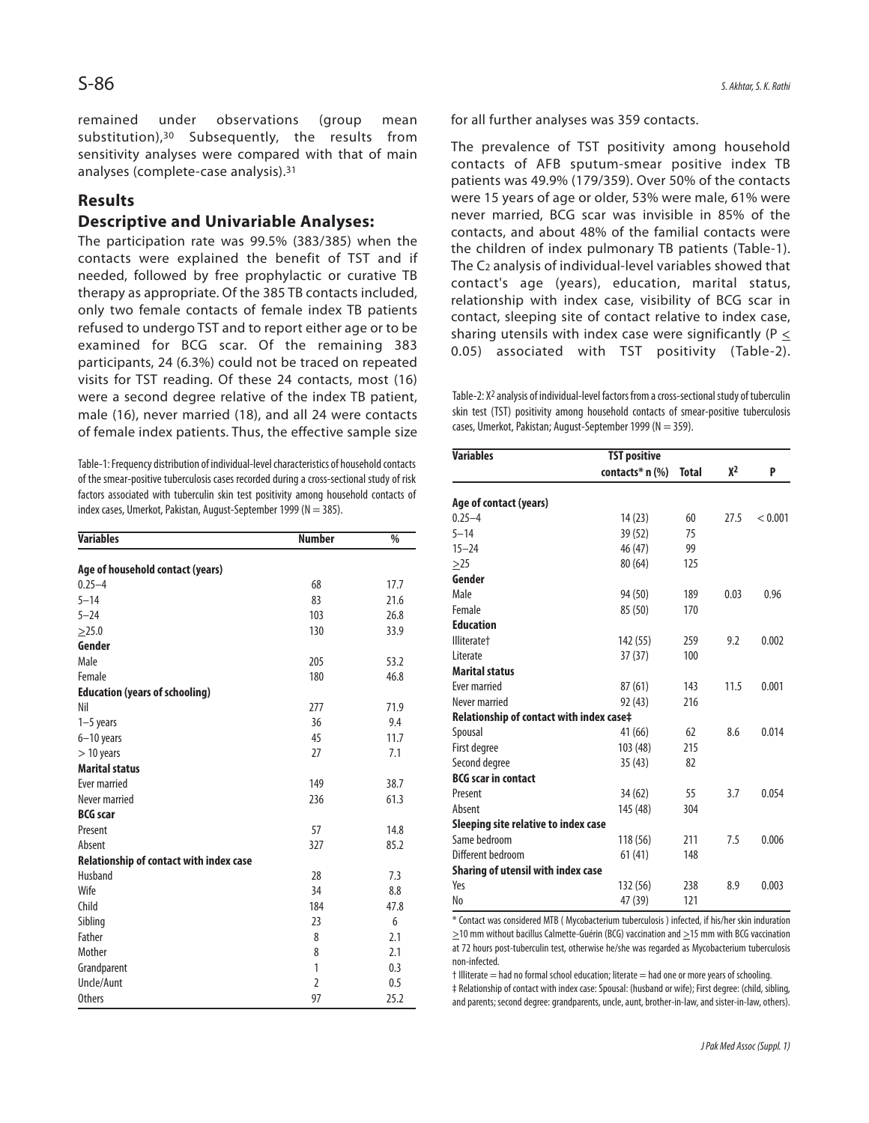remained under observations (group mean substitution),<sup>30</sup> Subsequently, the results from sensitivity analyses were compared with that of main analyses (complete-case analysis).<sup>31</sup>

## **Results**

## **Descriptive and Univariable Analyses:**

The participation rate was 99.5% (383/385) when the contacts were explained the benefit of TST and if needed, followed by free prophylactic or curative TB therapy as appropriate. Of the 385 TB contacts included, only two female contacts of female index TB patients refused to undergo TST and to report either age or to be examined for BCG scar. Of the remaining 383 participants, 24 (6.3%) could not be traced on repeated visits for TST reading. Of these 24 contacts, most (16) were a second degree relative of the index TB patient, male (16), never married (18), and all 24 were contacts of female index patients. Thus, the effective sample size

Table-1: Frequency distribution of individual-level characteristics of household contacts of the smear-positive tuberculosis cases recorded during a cross-sectional study of risk factors associated with tuberculin skin test positivity among household contacts of index cases, Umerkot, Pakistan, August-September 1999 (N = 385).

| <b>Variables</b>                        | <b>Number</b>  | $\frac{0}{6}$ |
|-----------------------------------------|----------------|---------------|
| Age of household contact (years)        |                |               |
| $0.25 - 4$                              | 68             | 17.7          |
| $5 - 14$                                | 83             | 21.6          |
| $5 - 24$                                | 103            | 26.8          |
| >25.0                                   | 130            | 33.9          |
| Gender                                  |                |               |
| Male                                    | 205            | 53.2          |
| Female                                  | 180            | 46.8          |
| <b>Education (years of schooling)</b>   |                |               |
| Nil                                     | 277            | 71.9          |
| $1-5$ years                             | 36             | 9.4           |
| 6-10 years                              | 45             | 11.7          |
| $> 10$ years                            | 27             | 7.1           |
| <b>Marital status</b>                   |                |               |
| Ever married                            | 149            | 38.7          |
| Never married                           | 236            | 61.3          |
| <b>BCG</b> scar                         |                |               |
| Present                                 | 57             | 14.8          |
| Absent                                  | 327            | 85.2          |
| Relationship of contact with index case |                |               |
| Husband                                 | 28             | 7.3           |
| Wife                                    | 34             | 8.8           |
| Child                                   | 184            | 47.8          |
| Sibling                                 | 23             | 6             |
| Father                                  | 8              | 2.1           |
| Mother                                  | 8              | 2.1           |
| Grandparent                             | 1              | 0.3           |
| Uncle/Aunt                              | $\overline{2}$ | 0.5           |
| <b>Others</b>                           | 97             | 25.2          |

for all further analyses was 359 contacts.

The prevalence of TST positivity among household contacts of AFB sputum-smear positive index TB patients was 49.9% (179/359). Over 50% of the contacts were 15 years of age or older, 53% were male, 61% were never married, BCG scar was invisible in 85% of the contacts, and about 48% of the familial contacts were the children of index pulmonary TB patients (Table-1). The C<sup>2</sup> analysis of individual-level variables showed that contact's age (years), education, marital status, relationship with index case, visibility of BCG scar in contact, sleeping site of contact relative to index case, sharing utensils with index case were significantly ( $P \leq$ 0.05) associated with TST positivity (Table-2).

Table-2:  $X^2$  analysis of individual-level factors from a cross-sectional study of tuberculin skin test (TST) positivity among household contacts of smear-positive tuberculosis cases, Umerkot, Pakistan; August-September 1999 (N = 359).

| <b>Variables</b>                         | <b>TST positive</b> |              |      |         |
|------------------------------------------|---------------------|--------------|------|---------|
|                                          | contacts* $n$ (%)   | <b>Total</b> | χ2   | P       |
| Age of contact (years)                   |                     |              |      |         |
| $0.25 - 4$                               | 14(23)              | 60           | 27.5 | < 0.001 |
| $5 - 14$                                 | 39 (52)             | 75           |      |         |
| $15 - 24$                                | 46 (47)             | 99           |      |         |
| >25                                      | 80(64)              | 125          |      |         |
| Gender                                   |                     |              |      |         |
| Male                                     | 94 (50)             | 189          | 0.03 | 0.96    |
| Female                                   | 85 (50)             | 170          |      |         |
| <b>Education</b>                         |                     |              |      |         |
| <b>Illiteratet</b>                       | 142 (55)            | 259          | 9.2  | 0.002   |
| Literate                                 | 37(37)              | 100          |      |         |
| <b>Marital status</b>                    |                     |              |      |         |
| <b>Fver married</b>                      | 87(61)              | 143          | 11.5 | 0.001   |
| Never married                            | 92 (43)             | 216          |      |         |
| Relationship of contact with index case‡ |                     |              |      |         |
| Spousal                                  | 41 (66)             | 62           | 8.6  | 0.014   |
| First degree                             | 103 (48)            | 215          |      |         |
| Second degree                            | 35(43)              | 82           |      |         |
| <b>BCG</b> scar in contact               |                     |              |      |         |
| Present                                  | 34 (62)             | 55           | 3.7  | 0.054   |
| Absent                                   | 145 (48)            | 304          |      |         |
| Sleeping site relative to index case     |                     |              |      |         |
| Same bedroom                             | 118 (56)            | 211          | 7.5  | 0.006   |
| Different bedroom                        | 61(41)              | 148          |      |         |
| Sharing of utensil with index case       |                     |              |      |         |
| Yes                                      | 132 (56)            | 238          | 8.9  | 0.003   |
| No                                       | 47 (39)             | 121          |      |         |

\* Contact was considered MTB ( Mycobacterium tuberculosis ) infected, if his/her skin induration  $\geq$ 10 mm without bacillus Calmette-Guérin (BCG) vaccination and  $\geq$ 15 mm with BCG vaccination at 72 hours post-tuberculin test, otherwise he/she was regarded as Mycobacterium tuberculosis non-infected.

† Illiterate = had no formal school education; literate = had one or more years of schooling.

‡ Relationship of contact with index case: Spousal: (husband or wife); First degree: (child, sibling, and parents; second degree: grandparents, uncle, aunt, brother-in-law, and sister-in-law, others).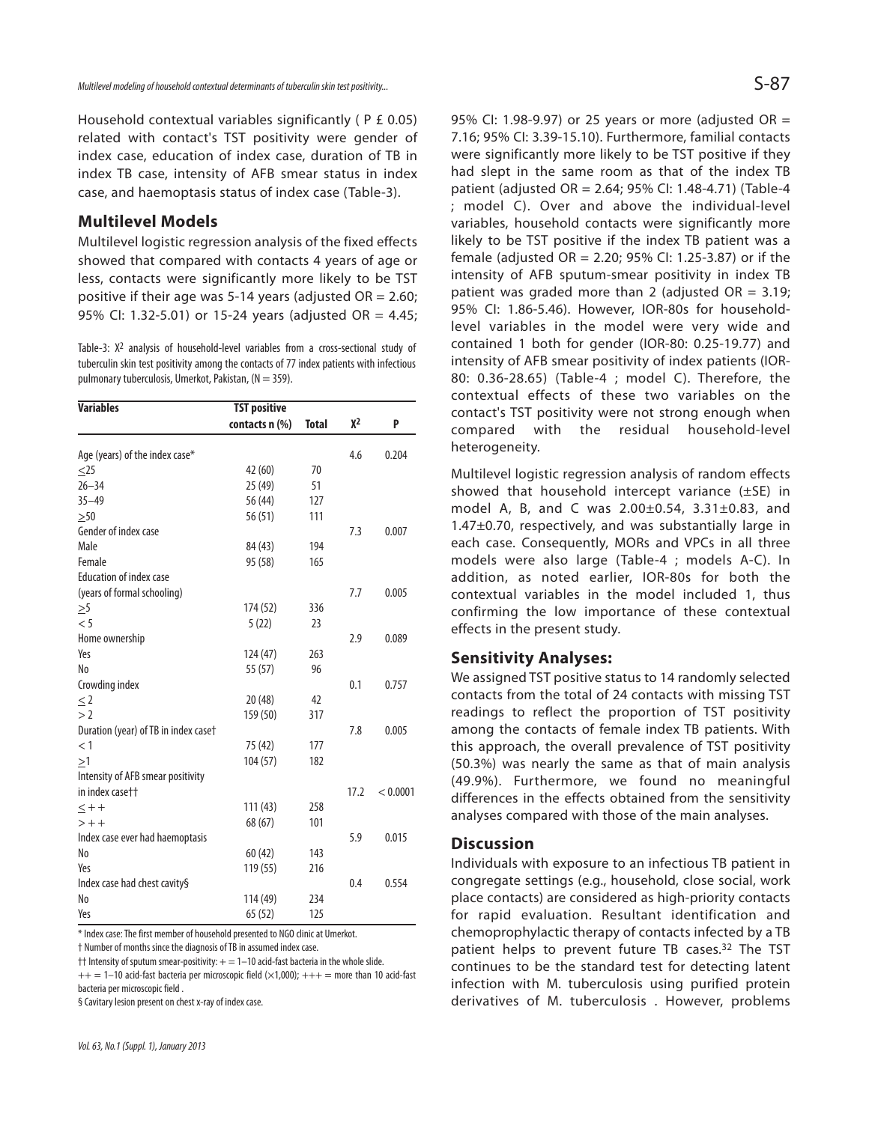Household contextual variables significantly ( P £ 0.05) related with contact's TST positivity were gender of index case, education of index case, duration of TB in index TB case, intensity of AFB smear status in index case, and haemoptasis status of index case (Table-3).

### **Multilevel Models**

Multilevel logistic regression analysis of the fixed effects showed that compared with contacts 4 years of age or less, contacts were significantly more likely to be TST positive if their age was 5-14 years (adjusted  $OR = 2.60$ ; 95% CI: 1.32-5.01) or 15-24 years (adjusted OR = 4.45;

Table-3:  $X^2$  analysis of household-level variables from a cross-sectional study of tuberculin skin test positivity among the contacts of 77 index patients with infectious pulmonary tuberculosis, Umerkot, Pakistan, ( $N = 359$ ).

| <b>Variables</b>                     | <b>TST positive</b> |              |       |          |
|--------------------------------------|---------------------|--------------|-------|----------|
|                                      | contacts n (%)      | <b>Total</b> | $X^2$ | P        |
| Age (years) of the index case*       |                     |              | 4.6   | 0.204    |
| $<$ 25                               | 42 (60)             | 70           |       |          |
| $26 - 34$                            | 25 (49)             | 51           |       |          |
| $35 - 49$                            | 56 (44)             | 127          |       |          |
| >50                                  | 56(51)              | 111          |       |          |
| Gender of index case                 |                     |              | 7.3   | 0.007    |
| Male                                 | 84 (43)             | 194          |       |          |
| Female                               | 95 (58)             | 165          |       |          |
| <b>Education of index case</b>       |                     |              |       |          |
| (years of formal schooling)          |                     |              | 7.7   | 0.005    |
| $\geq 5$                             | 174 (52)            | 336          |       |          |
| < 5                                  | 5(22)               | 23           |       |          |
| Home ownership                       |                     |              | 2.9   | 0.089    |
| Yes                                  | 124 (47)            | 263          |       |          |
| N <sub>0</sub>                       | 55 (57)             | 96           |       |          |
| Crowding index                       |                     |              | 0.1   | 0.757    |
| < 2                                  | 20(48)              | 42           |       |          |
| >2                                   | 159 (50)            | 317          |       |          |
| Duration (year) of TB in index case† |                     |              | 7.8   | 0.005    |
| $<$ 1                                | 75 (42)             | 177          |       |          |
| >1                                   | 104 (57)            | 182          |       |          |
| Intensity of AFB smear positivity    |                     |              |       |          |
| in index casett                      |                     |              | 17.2  | < 0.0001 |
| $\leq$ + +                           | 111 (43)            | 258          |       |          |
| $> + +$                              | 68 (67)             | 101          |       |          |
| Index case ever had haemoptasis      |                     |              | 5.9   | 0.015    |
| No                                   | 60(42)              | 143          |       |          |
| Yes                                  | 119 (55)            | 216          |       |          |
|                                      |                     |              | 0.4   | 0.554    |
| Index case had chest cavity§<br>No   |                     |              |       |          |
|                                      | 114 (49)            | 234          |       |          |
| Yes                                  | 65(52)              | 125          |       |          |

\* Index case: The first member of household presented to NGO clinic at Umerkot.

† Number of months since the diagnosis of TB in assumed index case.

 $\dagger\dagger$  Intensity of sputum smear-positivity:  $+=1-10$  acid-fast bacteria in the whole slide.  $++ = 1-10$  acid-fast bacteria per microscopic field ( $\times$ 1,000);  $+++$  = more than 10 acid-fast bacteria per microscopic field .

§ Cavitary lesion present on chest x-ray of index case.

95% CI: 1.98-9.97) or 25 years or more (adjusted OR = 7.16; 95% CI: 3.39-15.10). Furthermore, familial contacts were significantly more likely to be TST positive if they had slept in the same room as that of the index TB patient (adjusted OR = 2.64; 95% CI: 1.48-4.71) (Table-4 ; model C). Over and above the individual-level variables, household contacts were significantly more likely to be TST positive if the index TB patient was a female (adjusted OR = 2.20; 95% CI: 1.25-3.87) or if the intensity of AFB sputum-smear positivity in index TB patient was graded more than 2 (adjusted  $OR = 3.19$ ; 95% CI: 1.86-5.46). However, IOR-80s for householdlevel variables in the model were very wide and contained 1 both for gender (IOR-80: 0.25-19.77) and intensity of AFB smear positivity of index patients (IOR-80: 0.36-28.65) (Table-4 ; model C). Therefore, the contextual effects of these two variables on the contact's TST positivity were not strong enough when compared with the residual household-level heterogeneity.

Multilevel logistic regression analysis of random effects showed that household intercept variance (±SE) in model A, B, and C was 2.00±0.54, 3.31±0.83, and 1.47±0.70, respectively, and was substantially large in each case. Consequently, MORs and VPCs in all three models were also large (Table-4 ; models A-C). In addition, as noted earlier, IOR-80s for both the contextual variables in the model included 1, thus confirming the low importance of these contextual effects in the present study.

#### **Sensitivity Analyses:**

We assigned TST positive status to 14 randomly selected contacts from the total of 24 contacts with missing TST readings to reflect the proportion of TST positivity among the contacts of female index TB patients. With this approach, the overall prevalence of TST positivity (50.3%) was nearly the same as that of main analysis (49.9%). Furthermore, we found no meaningful differences in the effects obtained from the sensitivity analyses compared with those of the main analyses.

### **Discussion**

Individuals with exposure to an infectious TB patient in congregate settings (e.g., household, close social, work place contacts) are considered as high-priority contacts for rapid evaluation. Resultant identification and chemoprophylactic therapy of contacts infected by a TB patient helps to prevent future TB cases.<sup>32</sup> The TST continues to be the standard test for detecting latent infection with M. tuberculosis using purified protein derivatives of M. tuberculosis . However, problems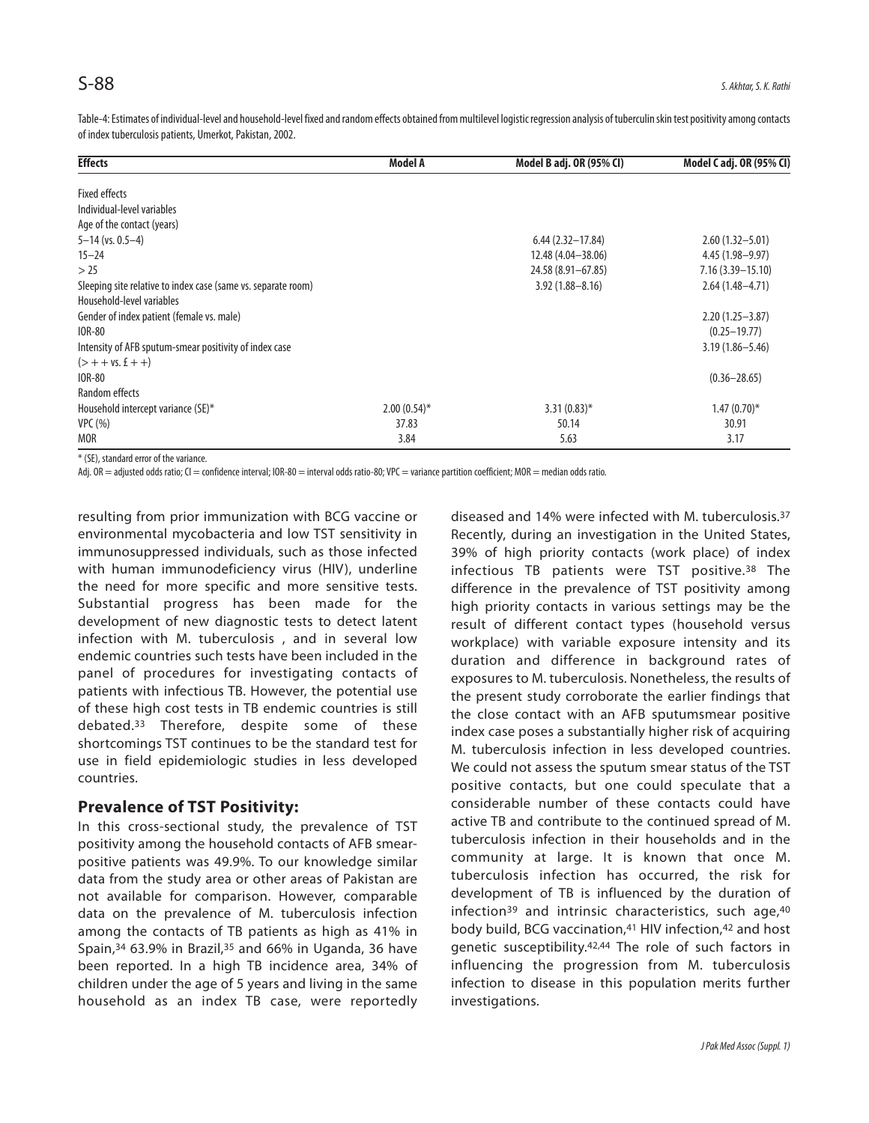Table-4: Estimates of individual-level and household-level fixed and random effects obtained from multilevel logistic regression analysis of tuberculin skin test positivity among contacts of index tuberculosis patients, Umerkot, Pakistan, 2002.

| <b>Effects</b>                                                | Model A        | Model B adj. OR (95% CI) | Model C adj. OR (95% CI) |
|---------------------------------------------------------------|----------------|--------------------------|--------------------------|
| <b>Fixed effects</b>                                          |                |                          |                          |
| Individual-level variables                                    |                |                          |                          |
| Age of the contact (years)                                    |                |                          |                          |
| $5 - 14$ (vs. 0.5-4)                                          |                | $6.44(2.32 - 17.84)$     | $2.60(1.32 - 5.01)$      |
| $15 - 24$                                                     |                | 12.48 (4.04 - 38.06)     | $4.45(1.98 - 9.97)$      |
| >25                                                           |                | 24.58 (8.91-67.85)       | $7.16(3.39 - 15.10)$     |
| Sleeping site relative to index case (same vs. separate room) |                | $3.92(1.88 - 8.16)$      | $2.64(1.48 - 4.71)$      |
| Household-level variables                                     |                |                          |                          |
| Gender of index patient (female vs. male)                     |                |                          | $2.20(1.25 - 3.87)$      |
| IOR-80                                                        |                |                          | $(0.25 - 19.77)$         |
| Intensity of AFB sputum-smear positivity of index case        |                |                          | $3.19(1.86 - 5.46)$      |
| $($ > + + vs. £ + +)                                          |                |                          |                          |
| <b>IOR-80</b>                                                 |                |                          | $(0.36 - 28.65)$         |
| Random effects                                                |                |                          |                          |
| Household intercept variance (SE)*                            | $2.00(0.54)$ * | $3.31(0.83)$ *           | $1.47(0.70)$ *           |
| VPC(%)                                                        | 37.83          | 50.14                    | 30.91                    |
| <b>MOR</b>                                                    | 3.84           | 5.63                     | 3.17                     |

\* (SE), standard error of the variance.

Adj. OR = adjusted odds ratio; CI = confidence interval; IOR-80 = interval odds ratio-80; VPC = variance partition coefficient; MOR = median odds ratio.

resulting from prior immunization with BCG vaccine or environmental mycobacteria and low TST sensitivity in immunosuppressed individuals, such as those infected with human immunodeficiency virus (HIV), underline the need for more specific and more sensitive tests. Substantial progress has been made for the development of new diagnostic tests to detect latent infection with M. tuberculosis , and in several low endemic countries such tests have been included in the panel of procedures for investigating contacts of patients with infectious TB. However, the potential use of these high cost tests in TB endemic countries is still debated.<sup>33</sup> Therefore, despite some of these shortcomings TST continues to be the standard test for use in field epidemiologic studies in less developed countries.

### **Prevalence of TST Positivity:**

In this cross-sectional study, the prevalence of TST positivity among the household contacts of AFB smearpositive patients was 49.9%. To our knowledge similar data from the study area or other areas of Pakistan are not available for comparison. However, comparable data on the prevalence of M. tuberculosis infection among the contacts of TB patients as high as 41% in Spain, $34$  63.9% in Brazil, $35$  and 66% in Uganda, 36 have been reported. In a high TB incidence area, 34% of children under the age of 5 years and living in the same household as an index TB case, were reportedly

diseased and 14% were infected with M. tuberculosis. 37 Recently, during an investigation in the United States, 39% of high priority contacts (work place) of index infectious TB patients were TST positive.<sup>38</sup> The difference in the prevalence of TST positivity among high priority contacts in various settings may be the result of different contact types (household versus workplace) with variable exposure intensity and its duration and difference in background rates of exposures to M. tuberculosis. Nonetheless, the results of the present study corroborate the earlier findings that the close contact with an AFB sputumsmear positive index case poses a substantially higher risk of acquiring M. tuberculosis infection in less developed countries. We could not assess the sputum smear status of the TST positive contacts, but one could speculate that a considerable number of these contacts could have active TB and contribute to the continued spread of M. tuberculosis infection in their households and in the community at large. It is known that once M. tuberculosis infection has occurred, the risk for development of TB is influenced by the duration of infection<sup>39</sup> and intrinsic characteristics, such age, $40$ body build, BCG vaccination,<sup>41</sup> HIV infection,<sup>42</sup> and host genetic susceptibility.42,44 The role of such factors in influencing the progression from M. tuberculosis infection to disease in this population merits further investigations.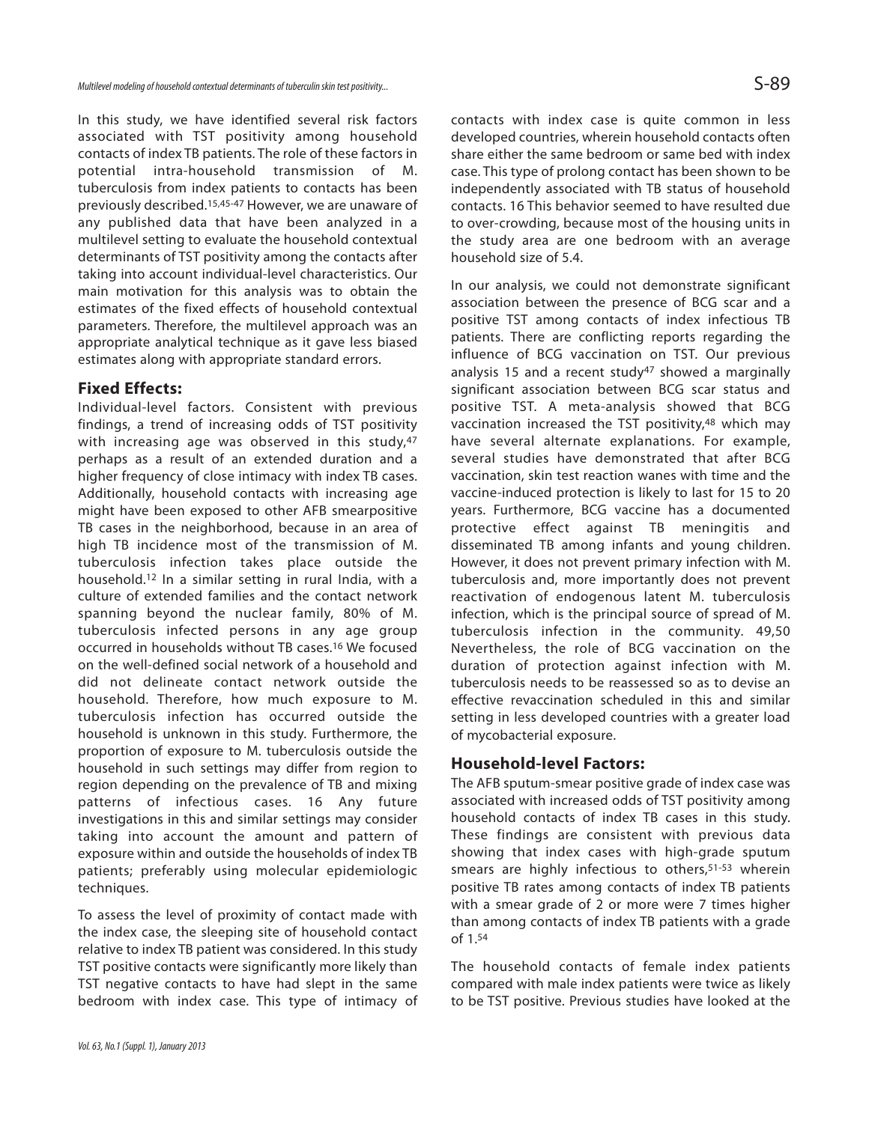In this study, we have identified several risk factors associated with TST positivity among household contacts of index TB patients. The role of these factors in potential intra-household transmission of M. tuberculosis from index patients to contacts has been previously described.15,45-47 However, we are unaware of any published data that have been analyzed in a multilevel setting to evaluate the household contextual determinants of TST positivity among the contacts after taking into account individual-level characteristics. Our main motivation for this analysis was to obtain the estimates of the fixed effects of household contextual parameters. Therefore, the multilevel approach was an appropriate analytical technique as it gave less biased estimates along with appropriate standard errors.

#### **Fixed Effects:**

Individual-level factors. Consistent with previous findings, a trend of increasing odds of TST positivity with increasing age was observed in this study, 47 perhaps as a result of an extended duration and a higher frequency of close intimacy with index TB cases. Additionally, household contacts with increasing age might have been exposed to other AFB smearpositive TB cases in the neighborhood, because in an area of high TB incidence most of the transmission of M. tuberculosis infection takes place outside the household.<sup>12</sup> In a similar setting in rural India, with a culture of extended families and the contact network spanning beyond the nuclear family, 80% of M. tuberculosis infected persons in any age group occurred in households without TB cases.<sup>16</sup> We focused on the well-defined social network of a household and did not delineate contact network outside the household. Therefore, how much exposure to M. tuberculosis infection has occurred outside the household is unknown in this study. Furthermore, the proportion of exposure to M. tuberculosis outside the household in such settings may differ from region to region depending on the prevalence of TB and mixing patterns of infectious cases. 16 Any future investigations in this and similar settings may consider taking into account the amount and pattern of exposure within and outside the households of index TB patients; preferably using molecular epidemiologic techniques.

To assess the level of proximity of contact made with the index case, the sleeping site of household contact relative to index TB patient was considered. In this study TST positive contacts were significantly more likely than TST negative contacts to have had slept in the same bedroom with index case. This type of intimacy of

contacts with index case is quite common in less developed countries, wherein household contacts often share either the same bedroom or same bed with index case. This type of prolong contact has been shown to be independently associated with TB status of household contacts. 16 This behavior seemed to have resulted due to over-crowding, because most of the housing units in the study area are one bedroom with an average household size of 5.4.

In our analysis, we could not demonstrate significant association between the presence of BCG scar and a positive TST among contacts of index infectious TB patients. There are conflicting reports regarding the influence of BCG vaccination on TST. Our previous analysis 15 and a recent study<sup>47</sup> showed a marginally significant association between BCG scar status and positive TST. A meta-analysis showed that BCG vaccination increased the TST positivity,<sup>48</sup> which may have several alternate explanations. For example, several studies have demonstrated that after BCG vaccination, skin test reaction wanes with time and the vaccine-induced protection is likely to last for 15 to 20 years. Furthermore, BCG vaccine has a documented protective effect against TB meningitis and disseminated TB among infants and young children. However, it does not prevent primary infection with M. tuberculosis and, more importantly does not prevent reactivation of endogenous latent M. tuberculosis infection, which is the principal source of spread of M. tuberculosis infection in the community. 49,50 Nevertheless, the role of BCG vaccination on the duration of protection against infection with M. tuberculosis needs to be reassessed so as to devise an effective revaccination scheduled in this and similar setting in less developed countries with a greater load of mycobacterial exposure.

## **Household-level Factors:**

The AFB sputum-smear positive grade of index case was associated with increased odds of TST positivity among household contacts of index TB cases in this study. These findings are consistent with previous data showing that index cases with high-grade sputum smears are highly infectious to others,<sup>51-53</sup> wherein positive TB rates among contacts of index TB patients with a smear grade of 2 or more were 7 times higher than among contacts of index TB patients with a grade of 1.54

The household contacts of female index patients compared with male index patients were twice as likely to be TST positive. Previous studies have looked at the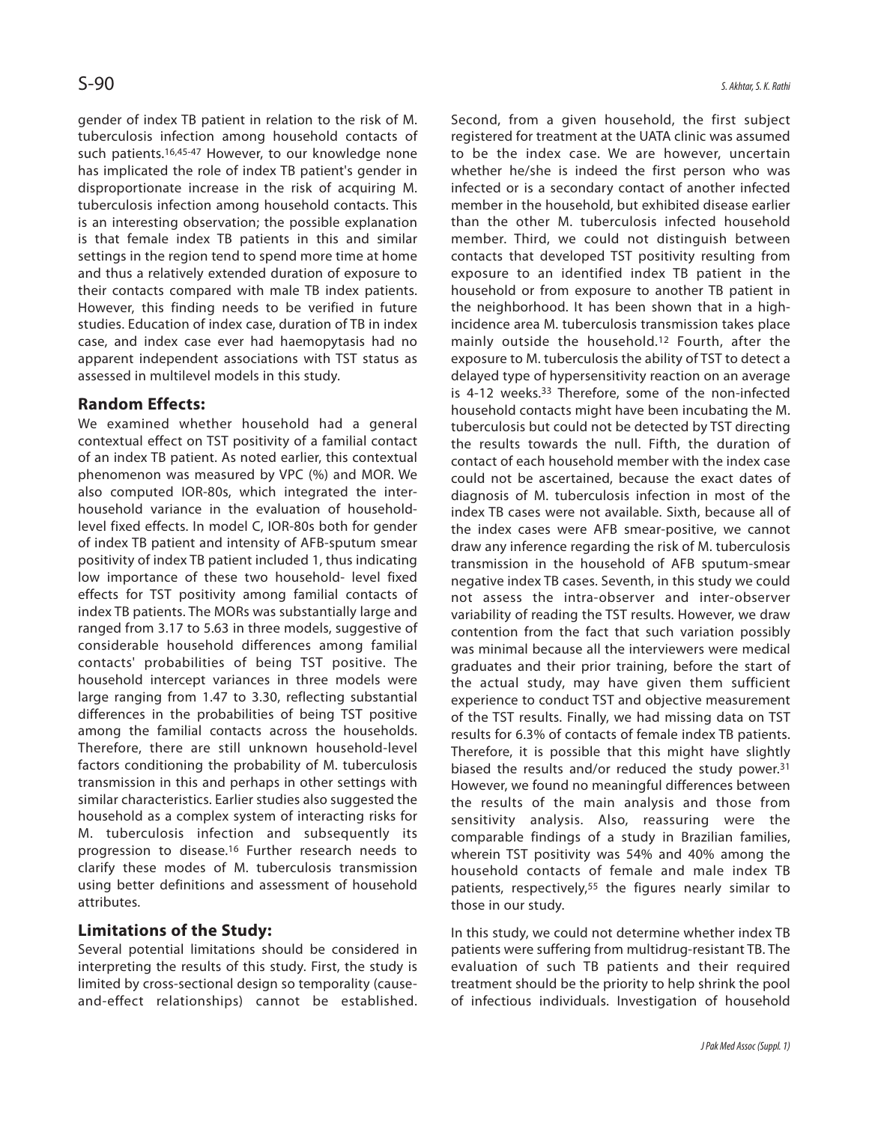gender of index TB patient in relation to the risk of M. tuberculosis infection among household contacts of such patients.<sup>16,45-47</sup> However, to our knowledge none has implicated the role of index TB patient's gender in disproportionate increase in the risk of acquiring M. tuberculosis infection among household contacts. This is an interesting observation; the possible explanation is that female index TB patients in this and similar settings in the region tend to spend more time at home and thus a relatively extended duration of exposure to their contacts compared with male TB index patients. However, this finding needs to be verified in future studies. Education of index case, duration of TB in index case, and index case ever had haemopytasis had no apparent independent associations with TST status as assessed in multilevel models in this study.

## **Random Effects:**

We examined whether household had a general contextual effect on TST positivity of a familial contact of an index TB patient. As noted earlier, this contextual phenomenon was measured by VPC (%) and MOR. We also computed IOR-80s, which integrated the interhousehold variance in the evaluation of householdlevel fixed effects. In model C, IOR-80s both for gender of index TB patient and intensity of AFB-sputum smear positivity of index TB patient included 1, thus indicating low importance of these two household- level fixed effects for TST positivity among familial contacts of index TB patients. The MORs was substantially large and ranged from 3.17 to 5.63 in three models, suggestive of considerable household differences among familial contacts' probabilities of being TST positive. The household intercept variances in three models were large ranging from 1.47 to 3.30, reflecting substantial differences in the probabilities of being TST positive among the familial contacts across the households. Therefore, there are still unknown household-level factors conditioning the probability of M. tuberculosis transmission in this and perhaps in other settings with similar characteristics. Earlier studies also suggested the household as a complex system of interacting risks for M. tuberculosis infection and subsequently its progression to disease.<sup>16</sup> Further research needs to clarify these modes of M. tuberculosis transmission using better definitions and assessment of household attributes.

## **Limitations of the Study:**

Several potential limitations should be considered in interpreting the results of this study. First, the study is limited by cross-sectional design so temporality (causeand-effect relationships) cannot be established. Second, from a given household, the first subject registered for treatment at the UATA clinic was assumed to be the index case. We are however, uncertain whether he/she is indeed the first person who was infected or is a secondary contact of another infected member in the household, but exhibited disease earlier than the other M. tuberculosis infected household member. Third, we could not distinguish between contacts that developed TST positivity resulting from exposure to an identified index TB patient in the household or from exposure to another TB patient in the neighborhood. It has been shown that in a highincidence area M. tuberculosis transmission takes place mainly outside the household.<sup>12</sup> Fourth, after the exposure to M. tuberculosis the ability of TST to detect a delayed type of hypersensitivity reaction on an average is 4-12 weeks.<sup>33</sup> Therefore, some of the non-infected household contacts might have been incubating the M. tuberculosis but could not be detected by TST directing the results towards the null. Fifth, the duration of contact of each household member with the index case could not be ascertained, because the exact dates of diagnosis of M. tuberculosis infection in most of the index TB cases were not available. Sixth, because all of the index cases were AFB smear-positive, we cannot draw any inference regarding the risk of M. tuberculosis transmission in the household of AFB sputum-smear negative index TB cases. Seventh, in this study we could not assess the intra-observer and inter-observer variability of reading the TST results. However, we draw contention from the fact that such variation possibly was minimal because all the interviewers were medical graduates and their prior training, before the start of the actual study, may have given them sufficient experience to conduct TST and objective measurement of the TST results. Finally, we had missing data on TST results for 6.3% of contacts of female index TB patients. Therefore, it is possible that this might have slightly biased the results and/or reduced the study power.<sup>31</sup> However, we found no meaningful differences between the results of the main analysis and those from sensitivity analysis. Also, reassuring were the comparable findings of a study in Brazilian families, wherein TST positivity was 54% and 40% among the household contacts of female and male index TB patients, respectively,<sup>55</sup> the figures nearly similar to those in our study.

In this study, we could not determine whether index TB patients were suffering from multidrug-resistant TB. The evaluation of such TB patients and their required treatment should be the priority to help shrink the pool of infectious individuals. Investigation of household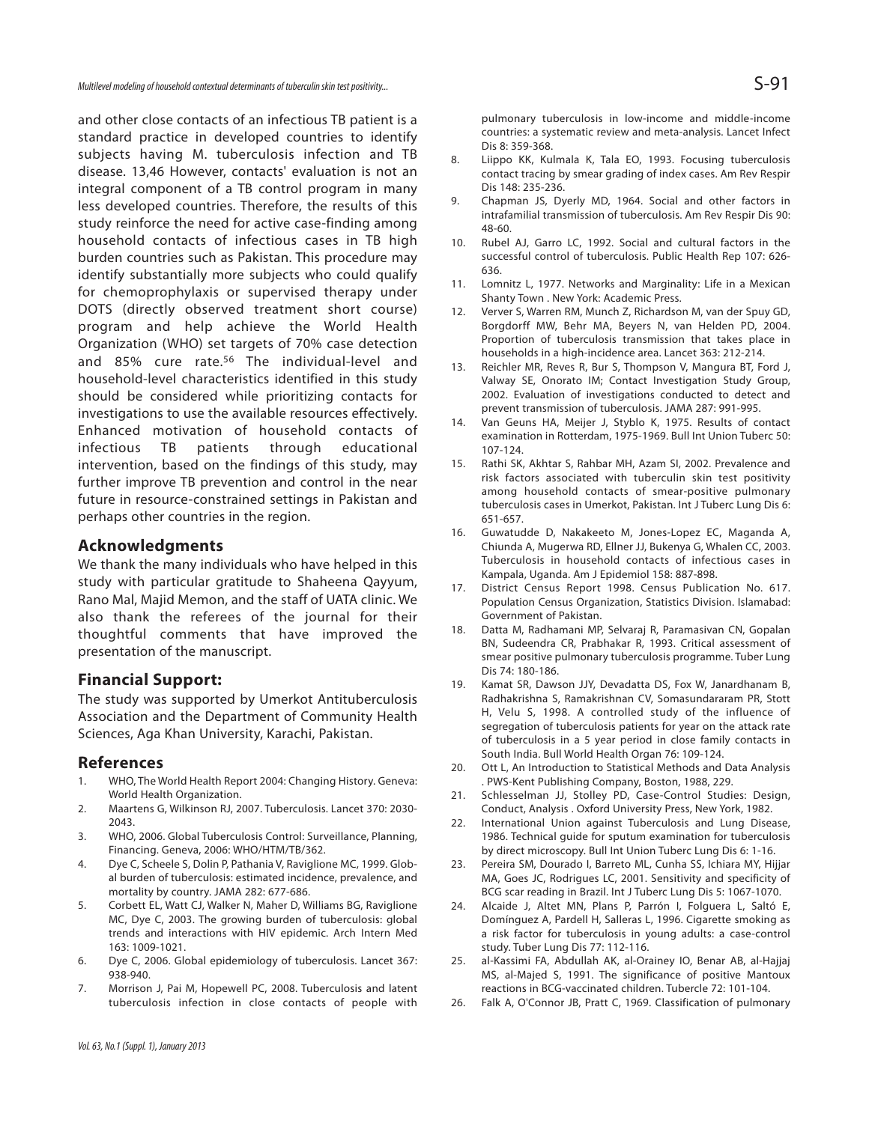and other close contacts of an infectious TB patient is a standard practice in developed countries to identify subjects having M. tuberculosis infection and TB disease. 13,46 However, contacts' evaluation is not an integral component of a TB control program in many less developed countries. Therefore, the results of this study reinforce the need for active case-finding among household contacts of infectious cases in TB high burden countries such as Pakistan. This procedure may identify substantially more subjects who could qualify for chemoprophylaxis or supervised therapy under DOTS (directly observed treatment short course) program and help achieve the World Health Organization (WHO) set targets of 70% case detection and 85% cure rate.<sup>56</sup> The individual-level and household-level characteristics identified in this study should be considered while prioritizing contacts for investigations to use the available resources effectively. Enhanced motivation of household contacts of infectious TB patients through educational intervention, based on the findings of this study, may further improve TB prevention and control in the near future in resource-constrained settings in Pakistan and perhaps other countries in the region.

#### **Acknowledgments**

We thank the many individuals who have helped in this study with particular gratitude to Shaheena Qayyum, Rano Mal, Majid Memon, and the staff of UATA clinic. We also thank the referees of the journal for their thoughtful comments that have improved the presentation of the manuscript.

#### **Financial Support:**

The study was supported by Umerkot Antituberculosis Association and the Department of Community Health Sciences, Aga Khan University, Karachi, Pakistan.

#### **References**

- 1. WHO, The World Health Report 2004: Changing History. Geneva: World Health Organization.
- 2. Maartens G, Wilkinson RJ, 2007. Tuberculosis. Lancet 370: 2030- 2043.
- 3. WHO, 2006. Global Tuberculosis Control: Surveillance, Planning, Financing. Geneva, 2006: WHO/HTM/TB/362.
- 4. Dye C, Scheele S, Dolin P, Pathania V, Raviglione MC, 1999. Global burden of tuberculosis: estimated incidence, prevalence, and mortality by country. JAMA 282: 677-686.
- 5. Corbett EL, Watt CJ, Walker N, Maher D, Williams BG, Raviglione MC, Dye C, 2003. The growing burden of tuberculosis: global trends and interactions with HIV epidemic. Arch Intern Med 163: 1009-1021.
- 6. Dye C, 2006. Global epidemiology of tuberculosis. Lancet 367: 938-940.
- 7. Morrison J, Pai M, Hopewell PC, 2008. Tuberculosis and latent tuberculosis infection in close contacts of people with

pulmonary tuberculosis in low-income and middle-income countries: a systematic review and meta-analysis. Lancet Infect Dis 8: 359-368.

- 8. Liippo KK, Kulmala K, Tala EO, 1993. Focusing tuberculosis contact tracing by smear grading of index cases. Am Rev Respir Dis 148: 235-236.
- 9. Chapman JS, Dyerly MD, 1964. Social and other factors in intrafamilial transmission of tuberculosis. Am Rev Respir Dis 90: 48-60.
- 10. Rubel AJ, Garro LC, 1992. Social and cultural factors in the successful control of tuberculosis. Public Health Rep 107: 626- 636.
- 11. Lomnitz L, 1977. Networks and Marginality: Life in a Mexican Shanty Town . New York: Academic Press.
- 12. Verver S, Warren RM, Munch Z, Richardson M, van der Spuy GD, Borgdorff MW, Behr MA, Beyers N, van Helden PD, 2004. Proportion of tuberculosis transmission that takes place in households in a high-incidence area. Lancet 363: 212-214.
- 13. Reichler MR, Reves R, Bur S, Thompson V, Mangura BT, Ford J, Valway SE, Onorato IM; Contact Investigation Study Group, 2002. Evaluation of investigations conducted to detect and prevent transmission of tuberculosis. JAMA 287: 991-995.
- 14. Van Geuns HA, Meijer J, Styblo K, 1975. Results of contact examination in Rotterdam, 1975-1969. Bull Int Union Tuberc 50: 107-124.
- 15. Rathi SK, Akhtar S, Rahbar MH, Azam SI, 2002. Prevalence and risk factors associated with tuberculin skin test positivity among household contacts of smear-positive pulmonary tuberculosis cases in Umerkot, Pakistan. Int J Tuberc Lung Dis 6: 651-657.
- 16. Guwatudde D, Nakakeeto M, Jones-Lopez EC, Maganda A, Chiunda A, Mugerwa RD, Ellner JJ, Bukenya G, Whalen CC, 2003. Tuberculosis in household contacts of infectious cases in Kampala, Uganda. Am J Epidemiol 158: 887-898.
- 17. District Census Report 1998. Census Publication No. 617. Population Census Organization, Statistics Division. Islamabad: Government of Pakistan.
- 18. Datta M, Radhamani MP, Selvaraj R, Paramasivan CN, Gopalan BN, Sudeendra CR, Prabhakar R, 1993. Critical assessment of smear positive pulmonary tuberculosis programme. Tuber Lung Dis 74: 180-186.
- 19. Kamat SR, Dawson JJY, Devadatta DS, Fox W, Janardhanam B, Radhakrishna S, Ramakrishnan CV, Somasundararam PR, Stott H, Velu S, 1998. A controlled study of the influence of segregation of tuberculosis patients for year on the attack rate of tuberculosis in a 5 year period in close family contacts in South India. Bull World Health Organ 76: 109-124.
- 20. Ott L, An Introduction to Statistical Methods and Data Analysis . PWS-Kent Publishing Company, Boston, 1988, 229.
- 21. Schlesselman JJ, Stolley PD, Case-Control Studies: Design, Conduct, Analysis . Oxford University Press, New York, 1982.
- 22. International Union against Tuberculosis and Lung Disease, 1986. Technical guide for sputum examination for tuberculosis by direct microscopy. Bull Int Union Tuberc Lung Dis 6: 1-16.
- 23. Pereira SM, Dourado I, Barreto ML, Cunha SS, Ichiara MY, Hijjar MA, Goes JC, Rodrigues LC, 2001. Sensitivity and specificity of BCG scar reading in Brazil. Int J Tuberc Lung Dis 5: 1067-1070.
- 24. Alcaide J, Altet MN, Plans P, Parrón I, Folguera L, Saltó E, Domínguez A, Pardell H, Salleras L, 1996. Cigarette smoking as a risk factor for tuberculosis in young adults: a case-control study. Tuber Lung Dis 77: 112-116.
- 25. al-Kassimi FA, Abdullah AK, al-Orainey IO, Benar AB, al-Hajjaj MS, al-Majed S, 1991. The significance of positive Mantoux reactions in BCG-vaccinated children. Tubercle 72: 101-104.
- 26. Falk A, O'Connor JB, Pratt C, 1969. Classification of pulmonary